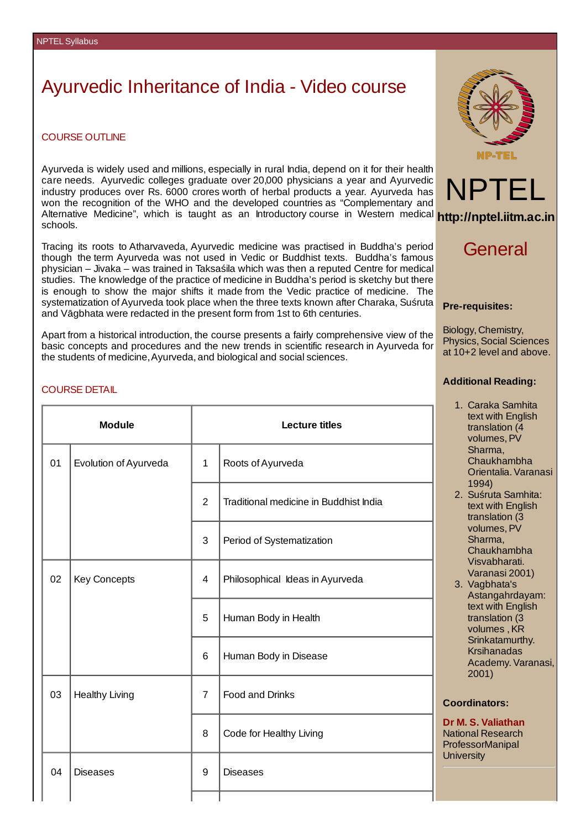# Ayurvedic Inheritance of India - Video course

#### COURSE OUTLINE

Ayurveda is widely used and millions, especially in rural India, depend on it for their health care needs. Ayurvedic colleges graduate over 20,000 physicians a year and Ayurvedic industry produces over Rs. 6000 crores worth of herbal products a year. Ayurveda has won the recognition of the WHO and the developed countries as "Complementary and Alternative Medicine", which is taught as an Introductory course in Western medical **http://nptel.iitm.ac.in** schools.

Tracing its roots to Atharvaveda, Ayurvedic medicine was practised in Buddha's period though the term Ayurveda was not used in Vedic or Buddhist texts. Buddha's famous physician – Jivaka – was trained in Taksaśila which was then a reputed Centre for medical studies. The knowledge of the practice of medicine in Buddha's period is sketchy but there is enough to show the major shifts it made from the Vedic practice of medicine. The systematization of Ayurveda took place when the three texts known after Charaka, Suśruta and Vāgbhata were redacted in the present form from 1st to 6th centuries.

Apart from a historical introduction, the course presents a fairly comprehensive view of the basic concepts and procedures and the new trends in scientific research in Ayurveda for the students of medicine,Ayurveda, and biological and social sciences.



## General

#### **Pre-requisites:**

Biology, Chemistry, Physics, Social Sciences at 10+2 level and above.

## **Additional Reading:**

- 1. Caraka Samhita text with English translation (4 volumes,PV Sharma, Chaukhambha Orientalia.Varanasi 1994)
- 2. Suśruta Samhita: text with English translation (3 volumes,PV Sharma, Chaukhambha Visvabharati. Varanasi 2001)
- 3. Vagbhata's Astangahrdayam: text with English translation (3 volumes, KR Srinkatamurthy. Krsihanadas Academy. Varanasi, 2001)

## **Coordinators:**

**Dr M. S. Valiathan** National Research ProfessorManipal **University** 

#### COURSE DETAIL

| <b>Module</b> |                       | <b>Lecture titles</b> |                                        |
|---------------|-----------------------|-----------------------|----------------------------------------|
| 01            | Evolution of Ayurveda | $\mathbf{1}$          | Roots of Ayurveda                      |
|               |                       | $\overline{2}$        | Traditional medicine in Buddhist India |
|               |                       | 3                     | Period of Systematization              |
| 02            | Key Concepts          | 4                     | Philosophical Ideas in Ayurveda        |
|               |                       | 5                     | Human Body in Health                   |
|               |                       | 6                     | Human Body in Disease                  |
| 03            | <b>Healthy Living</b> | $\overline{7}$        | Food and Drinks                        |
|               |                       | 8                     | Code for Healthy Living                |
| 04            | <b>Diseases</b>       | 9                     | <b>Diseases</b>                        |
|               |                       |                       |                                        |